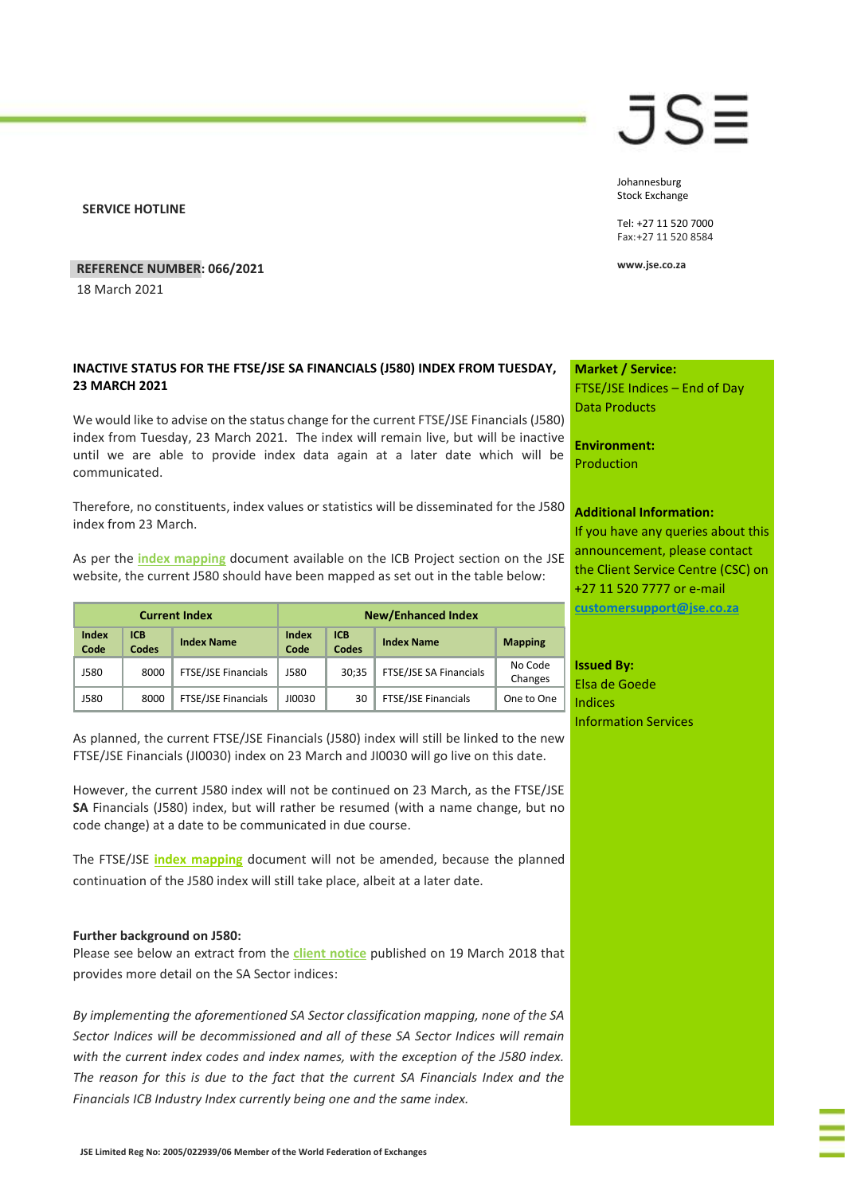**SERVICE HOTLINE**

### **REFERENCE NUMBER: 066/2021**

18 March 2021

## **INACTIVE STATUS FOR THE FTSE/JSE SA FINANCIALS (J580) INDEX FROM TUESDAY, 23 MARCH 2021**

We would like to advise on the status change for the current FTSE/JSE Financials (J580) index from Tuesday, 23 March 2021. The index will remain live, but will be inactive until we are able to provide index data again at a later date which will be communicated.

Therefore, no constituents, index values or statistics will be disseminated for the J580 index from 23 March.

As per the **[index mapping](https://clientportal.jse.co.za/Content/ICBServicesDocumentation/March%202021%20ICB%20Indices.xls)** document available on the ICB Project section on the JSE website, the current J580 should have been mapped as set out in the table below:

| <b>Current Index</b> |                     |                     | <b>New/Enhanced Index</b> |                     |                        |                    |
|----------------------|---------------------|---------------------|---------------------------|---------------------|------------------------|--------------------|
| <b>Index</b><br>Code | <b>ICB</b><br>Codes | <b>Index Name</b>   | Index<br>Code             | <b>ICB</b><br>Codes | <b>Index Name</b>      | <b>Mapping</b>     |
| J580                 | 8000                | FTSE/JSE Financials | J580                      | 30:35               | FTSE/JSE SA Financials | No Code<br>Changes |
| J580                 | 8000                | FTSE/JSE Financials | JI0030                    | 30                  | FTSE/JSE Financials    | One to One         |

As planned, the current FTSE/JSE Financials (J580) index will still be linked to the new FTSE/JSE Financials (JI0030) index on 23 March and JI0030 will go live on this date.

However, the current J580 index will not be continued on 23 March, as the FTSE/JSE **SA** Financials (J580) index, but will rather be resumed (with a name change, but no code change) at a date to be communicated in due course.

The FTSE/JSE **[index mapping](https://clientportal.jse.co.za/Content/ICBServicesDocumentation/March%202021%20ICB%20Indices.xls)** document will not be amended, because the planned continuation of the J580 index will still take place, albeit at a later date.

### **Further background on J580:**

Please see below an extract from the **[client notice](https://clientportal.jse.co.za/Content/ICANoticeItems/FTSE-JSE-Africa/20180416%20Market%20Note%20Changes%20to%20ICB%20and%20SA%20Sector%20Indices.pdf)** published on 19 March 2018 that provides more detail on the SA Sector indices:

*By implementing the aforementioned SA Sector classification mapping, none of the SA Sector Indices will be decommissioned and all of these SA Sector Indices will remain with the current index codes and index names, with the exception of the J580 index. The reason for this is due to the fact that the current SA Financials Index and the Financials ICB Industry Index currently being one and the same index.* 

**Market / Service:** FTSE/JSE Indices – End of Day Data Products

**Environment:** Production

### **Additional Information:**

If you have any queries about this announcement, please contact the Client Service Centre (CSC) on +27 11 520 7777 or e-mail **[customersupport@jse.co.za](mailto:customersupport@jse.co.za)**

**Issued By:** Elsa de Goede Indices Information Services

## JS≣

Johannesburg Stock Exchange

Tel: +27 11 520 7000 Fax:+27 11 520 8584

**www.jse.co.za**